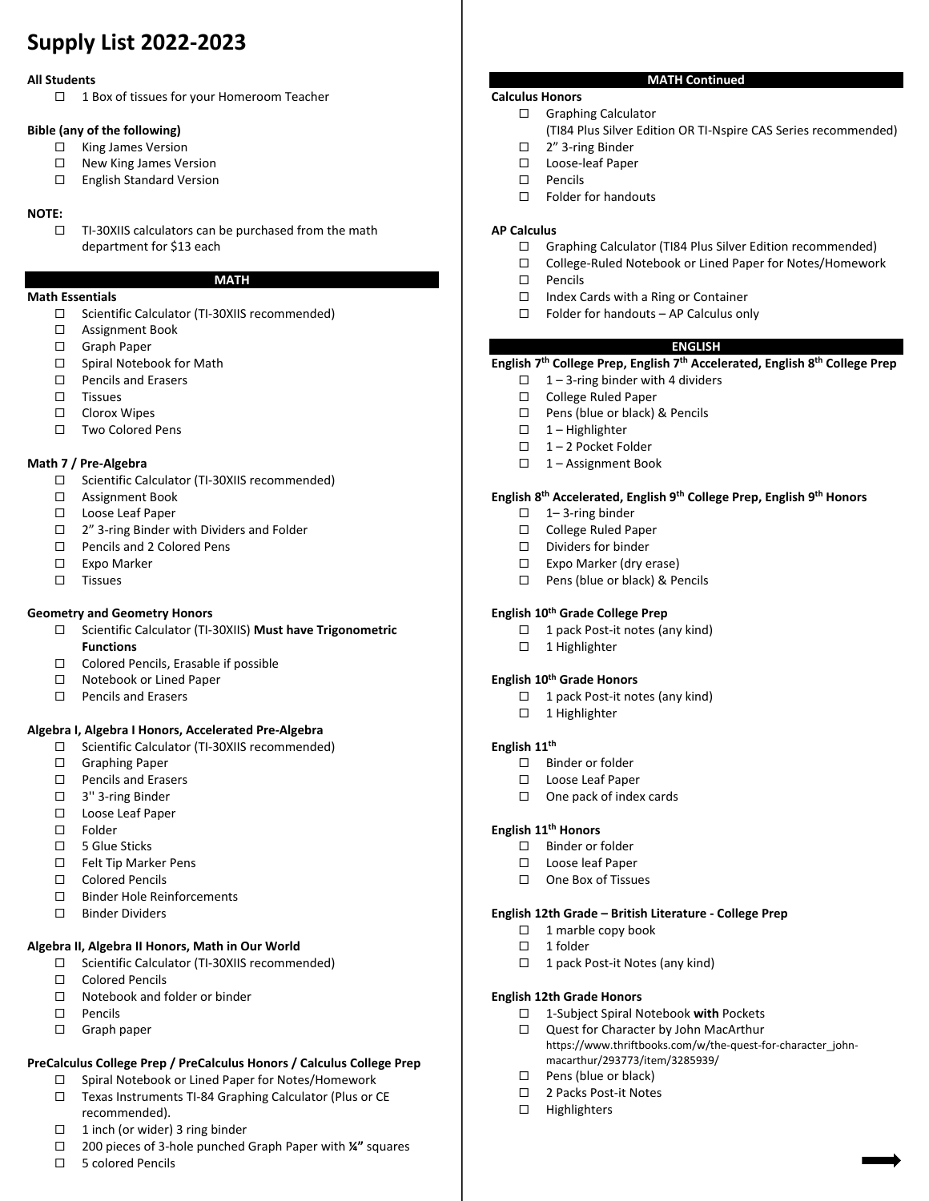# **Supply List 2022‐2023**

#### **All Students**

 $\Box$  1 Box of tissues for your Homeroom Teacher

#### **Bible (any of the following)**

- □ King James Version
- $\Box$  New King James Version
- □ English Standard Version

### **NOTE:**

 TI‐30XIIS calculators can be purchased from the math department for \$13 each

#### **MATH**

#### **Math Essentials**

- Scientific Calculator (TI‐30XIIS recommended)
- □ Assignment Book
- □ Graph Paper
- □ Spiral Notebook for Math
- □ Pencils and Erasers
- $\square$  Tissues
- □ Clorox Wipes
- □ Two Colored Pens

### **Math 7 / Pre‐Algebra**

- Scientific Calculator (TI‐30XIIS recommended)
- □ Assignment Book
- □ Loose Leaf Paper
- □ 2" 3-ring Binder with Dividers and Folder
- □ Pencils and 2 Colored Pens
- □ Expo Marker
- $\square$  Tissues

### **Geometry and Geometry Honors**

- Scientific Calculator (TI‐30XIIS) **Must have Trigonometric Functions**
- Colored Pencils, Erasable if possible
- □ Notebook or Lined Paper
- □ Pencils and Erasers

### **Algebra I, Algebra I Honors, Accelerated Pre‐Algebra**

- Scientific Calculator (TI‐30XIIS recommended)
- □ Graphing Paper
- □ Pencils and Erasers
- 3'' 3‐ring Binder
- □ Loose Leaf Paper
- □ Folder
- 5 Glue Sticks
- □ Felt Tip Marker Pens
- □ Colored Pencils
- □ Binder Hole Reinforcements
- □ Binder Dividers

### **Algebra II, Algebra II Honors, Math in Our World**

- Scientific Calculator (TI‐30XIIS recommended)
- □ Colored Pencils
- $\Box$  Notebook and folder or binder
- Pencils
- □ Graph paper

### **PreCalculus College Prep / PreCalculus Honors / Calculus College Prep**

- □ Spiral Notebook or Lined Paper for Notes/Homework
- Texas Instruments TI‐84 Graphing Calculator (Plus or CE recommended).
- $\Box$  1 inch (or wider) 3 ring binder
- 200 pieces of 3‐hole punched Graph Paper with **¼"** squares
- □ 5 colored Pencils

### **Calculus Honors**

- Graphing Calculator
	- (TI84 Plus Silver Edition OR TI‐Nspire CAS Series recommended)
- 2" 3‐ring Binder
- Loose‐leaf Paper
- $\square$  Pencils
- □ Folder for handouts

### **AP Calculus**

Graphing Calculator (TI84 Plus Silver Edition recommended)

**MATH Continued** 

- College‐Ruled Notebook or Lined Paper for Notes/Homework
- $\square$  Pencils
- $\Box$  Index Cards with a Ring or Container
- $\Box$  Folder for handouts AP Calculus only

### **ENGLISH**

### **English 7th College Prep, English 7th Accelerated, English 8th College Prep**

- $\Box$  1 3-ring binder with 4 dividers
- □ College Ruled Paper
- □ Pens (blue or black) & Pencils
- $\Box$  1 Highlighter
- □ 1-2 Pocket Folder
- $\Box$  1 Assignment Book

### **English 8th Accelerated, English 9th College Prep, English 9th Honors**

- $\Box$  1–3-ring binder
- □ College Ruled Paper
- $\square$  Dividers for binder
- $\Box$  Expo Marker (dry erase)
- $\Box$  Pens (blue or black) & Pencils

### **English 10th Grade College Prep**

- □ 1 pack Post-it notes (any kind)
- □ 1 Highlighter

#### **English 10th Grade Honors**

- $\Box$  1 pack Post-it notes (any kind)
- $\Box$  1 Highlighter

### **English 11th**

- $\Box$  Binder or folder
- □ Loose Leaf Paper
- $\Box$  One pack of index cards

### **English 11th Honors**

- $\Box$  Binder or folder
- □ Loose leaf Paper
- □ One Box of Tissues

### **English 12th Grade – British Literature ‐ College Prep**

 1‐Subject Spiral Notebook **with** Pockets Quest for Character by John MacArthur

macarthur/293773/item/3285939/

https://www.thriftbooks.com/w/the-quest-for-character\_john-

 $\Box$  1 marble copy book

### $\Box$  1 folder

 $\Box$  Pens (blue or black) □ 2 Packs Post-it Notes  $\Box$  Highlighters

**English 12th Grade Honors** 

□ 1 pack Post-it Notes (any kind)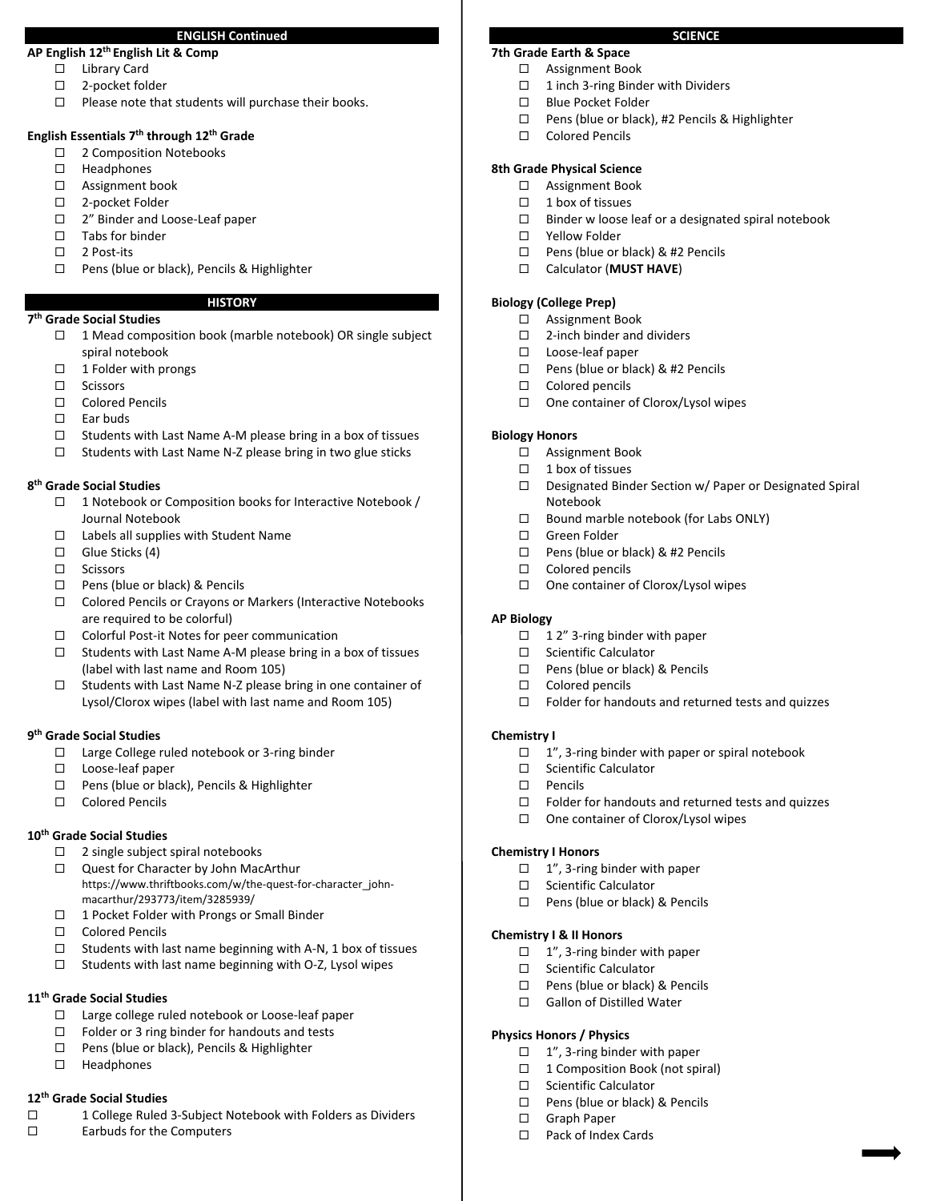#### **ENGLISH Continued**

### **AP English 12th English Lit & Comp**

- □ Library Card
- 2‐pocket folder
- $\Box$  Please note that students will purchase their books.

### **English Essentials 7th through 12th Grade**

- □ 2 Composition Notebooks
- □ Headphones
- □ Assignment book
- □ 2-pocket Folder
- □ 2" Binder and Loose-Leaf paper
- $\square$  Tabs for binder
- □ 2 Post-its
- □ Pens (blue or black), Pencils & Highlighter

### **HISTORY**

- **7th Grade Social Studies** 
	- $\Box$  1 Mead composition book (marble notebook) OR single subject spiral notebook
	- $\Box$  1 Folder with prongs
	- $\square$  Scissors
	- □ Colored Pencils
	- $\Box$  Far buds
	- $\Box$  Students with Last Name A-M please bring in a box of tissues
	- $\Box$  Students with Last Name N-Z please bring in two glue sticks

#### **8th Grade Social Studies**

- □ 1 Notebook or Composition books for Interactive Notebook / Journal Notebook
- $\Box$  Labels all supplies with Student Name
- $\Box$  Glue Sticks (4)
- □ Scissors
- $\Box$  Pens (blue or black) & Pencils
- □ Colored Pencils or Crayons or Markers (Interactive Notebooks are required to be colorful)
- Colorful Post‐it Notes for peer communication
- □ Students with Last Name A-M please bring in a box of tissues (label with last name and Room 105)
- □ Students with Last Name N-Z please bring in one container of Lysol/Clorox wipes (label with last name and Room 105)

#### **9th Grade Social Studies**

- Large College ruled notebook or 3‐ring binder
- Loose‐leaf paper
- □ Pens (blue or black), Pencils & Highlighter
- Colored Pencils

#### **10th Grade Social Studies**

- $\square$  2 single subject spiral notebooks
- Quest for Character by John MacArthur https://www.thriftbooks.com/w/the‐quest‐for‐character\_john‐ macarthur/293773/item/3285939/
- □ 1 Pocket Folder with Prongs or Small Binder
- □ Colored Pencils
- $\Box$  Students with last name beginning with A-N, 1 box of tissues
- $\Box$  Students with last name beginning with O-Z, Lysol wipes

### **11th Grade Social Studies**

- Large college ruled notebook or Loose‐leaf paper
- $\Box$  Folder or 3 ring binder for handouts and tests
- □ Pens (blue or black), Pencils & Highlighter
- □ Headphones

### **12th Grade Social Studies**

- □ 1 College Ruled 3-Subject Notebook with Folders as Dividers
- $\square$  Earbuds for the Computers

### **7th Grade Earth & Space**

- □ Assignment Book
	- $\Box$  1 inch 3-ring Binder with Dividers
	- □ Blue Pocket Folder
	- □ Pens (blue or black), #2 Pencils & Highlighter
	- □ Colored Pencils

#### **8th Grade Physical Science**

- Assignment Book
- $\Box$  1 box of tissues
- $\Box$  Binder w loose leaf or a designated spiral notebook

**SCIENCE** 

- □ Yellow Folder
- □ Pens (blue or black) & #2 Pencils
- Calculator (**MUST HAVE**)

#### **Biology (College Prep)**

- □ Assignment Book
- $\square$  2-inch binder and dividers
- Loose‐leaf paper
- □ Pens (blue or black) & #2 Pencils
- $\Box$  Colored pencils
- $\Box$  One container of Clorox/Lysol wipes

#### **Biology Honors**

- □ Assignment Book
- $\Box$  1 box of tissues
- □ Designated Binder Section w/ Paper or Designated Spiral Notebook
- $\Box$  Bound marble notebook (for Labs ONLY)
- □ Green Folder
- □ Pens (blue or black) & #2 Pencils
- $\Box$  Colored pencils
- $\Box$  One container of Clorox/Lysol wipes

#### **AP Biology**

- $\Box$  1 2" 3-ring binder with paper
- □ Scientific Calculator
- $\Box$  Pens (blue or black) & Pencils
- $\Box$  Colored pencils
- $\Box$  Folder for handouts and returned tests and quizzes

#### **Chemistry I**

- $\Box$  1", 3-ring binder with paper or spiral notebook
- □ Scientific Calculator
- Pencils
- $\Box$  Folder for handouts and returned tests and quizzes
- □ One container of Clorox/Lysol wipes

#### **Chemistry I Honors**

- $\Box$  1", 3-ring binder with paper
- □ Scientific Calculator
- □ Pens (blue or black) & Pencils

#### **Chemistry I & II Honors**

**Physics Honors / Physics** 

□ Graph Paper □ Pack of Index Cards

 $\Box$  1", 3-ring binder with paper

□ Pens (blue or black) & Pencils □ Gallon of Distilled Water

 $\Box$  1", 3-ring binder with paper  $\Box$  1 Composition Book (not spiral)

□ Pens (blue or black) & Pencils

□ Scientific Calculator

□ Scientific Calculator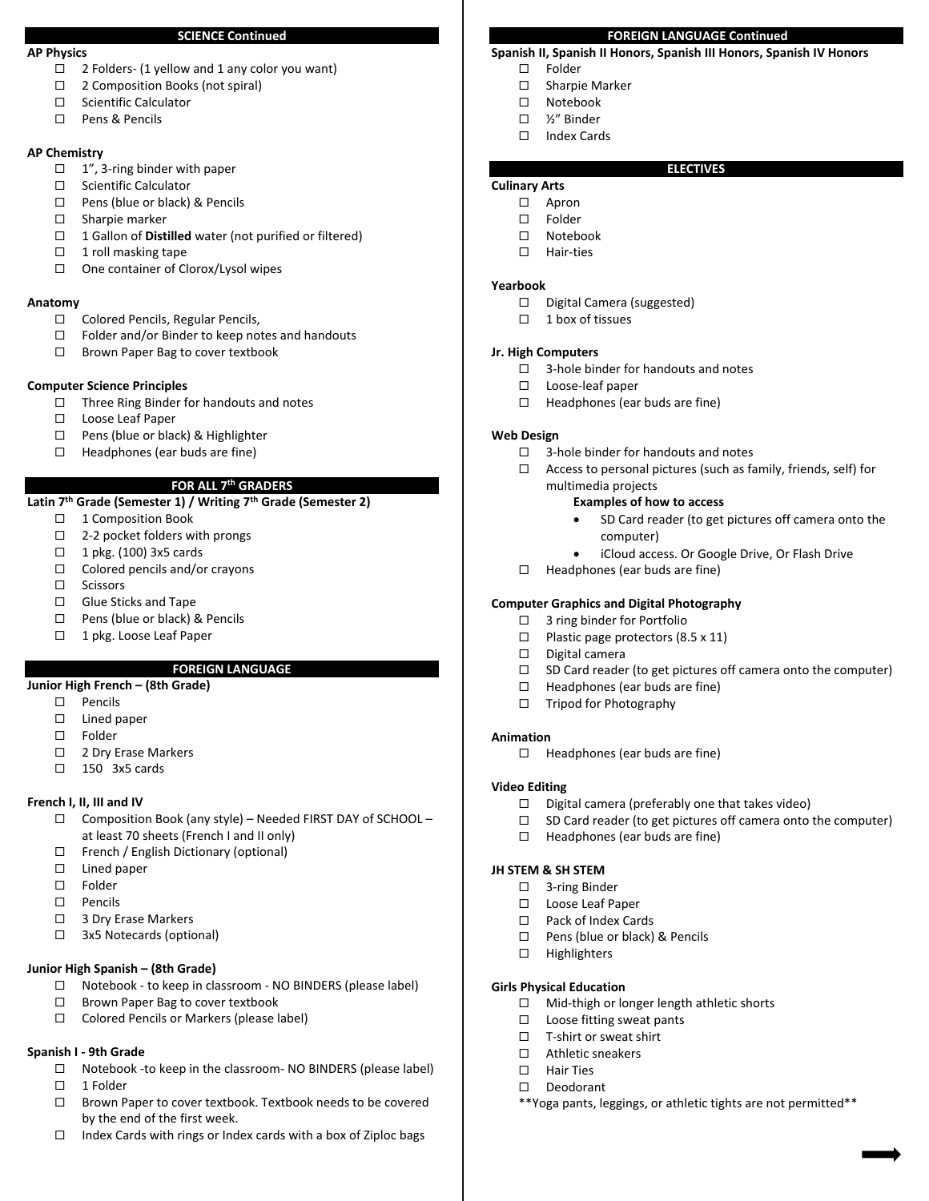#### **SCIENCE Continued**

#### **AP Physics**

- $\Box$  2 Folders- (1 yellow and 1 any color you want)
- □ 2 Composition Books (not spiral)
- □ Scientific Calculator
- □ Pens & Pencils

#### **AP Chemistry**

- $\Box$  1", 3-ring binder with paper
- □ Scientific Calculator
- □ Pens (blue or black) & Pencils
- □ Sharpie marker
- □ 1 Gallon of **Distilled** water (not purified or filtered)
- $\Box$  1 roll masking tape
- □ One container of Clorox/Lysol wipes

#### **Anatomy**

- Colored Pencils, Regular Pencils,
- $\Box$  Folder and/or Binder to keep notes and handouts
- $\Box$  Brown Paper Bag to cover textbook

#### **Computer Science Principles**

- $\Box$  Three Ring Binder for handouts and notes
- □ Loose Leaf Paper
- $\Box$  Pens (blue or black) & Highlighter
- $\Box$  Headphones (ear buds are fine)

### **FOR ALL 7th GRADERS**

### Latin 7<sup>th</sup> Grade (Semester 1) / Writing 7<sup>th</sup> Grade (Semester 2)

- □ 1 Composition Book
- $\Box$  2-2 pocket folders with prongs
- $\Box$  1 pkg. (100) 3x5 cards
- $\Box$  Colored pencils and/or crayons
- $\square$  Scissors
- □ Glue Sticks and Tape
- □ Pens (blue or black) & Pencils
- □ 1 pkg. Loose Leaf Paper

#### **FOREIGN LANGUAGE**

### **Junior High French – (8th Grade)**

- $\square$  Pencils
- □ Lined paper
- Folder
- □ 2 Dry Erase Markers
- $\Box$  150 3x5 cards

#### **French I, II, III and IV**

- Composition Book (any style) Needed FIRST DAY of SCHOOL at least 70 sheets (French I and II only)
- French / English Dictionary (optional)
- $\square$  Lined paper
- □ Folder
- $\square$  Pencils
- □ 3 Dry Erase Markers
- □ 3x5 Notecards (optional)

#### **Junior High Spanish – (8th Grade)**

- Notebook ‐ to keep in classroom ‐ NO BINDERS (please label)
- □ Brown Paper Bag to cover textbook
- □ Colored Pencils or Markers (please label)

#### **Spanish I ‐ 9th Grade**

- □ Notebook -to keep in the classroom- NO BINDERS (please label)  $\Box$  1 Folder
- □ Brown Paper to cover textbook. Textbook needs to be covered by the end of the first week.
- $\Box$  Index Cards with rings or Index cards with a box of Ziploc bags

#### **FOREIGN LANGUAGE Continued**

**ELECTIVES** 

### **Spanish II, Spanish II Honors, Spanish III Honors, Spanish IV Honors**

- $\square$  Folder
- □ Sharpie Marker
- Notebook
- ½" Binder
- □ Index Cards

## **Culinary Arts**

- Apron
- Folder
- Notebook
- □ Hair-ties
- 

#### **Yearbook**

- D Digital Camera (suggested)
- $\Box$  1 box of tissues

#### **Jr. High Computers**

- $\Box$  3-hole binder for handouts and notes
- Loose‐leaf paper
- $\Box$  Headphones (ear buds are fine)

#### **Web Design**

- $\Box$  3-hole binder for handouts and notes
- $\Box$  Access to personal pictures (such as family, friends, self) for multimedia projects

#### **Examples of how to access**

- SD Card reader (to get pictures off camera onto the computer)
- iCloud access. Or Google Drive, Or Flash Drive
- $\Box$  Headphones (ear buds are fine)

#### **Computer Graphics and Digital Photography**

- $\Box$  3 ring binder for Portfolio
- $\Box$  Plastic page protectors (8.5 x 11)
- $\square$  Digital camera
- $\square$  SD Card reader (to get pictures off camera onto the computer)
- $\Box$  Headphones (ear buds are fine)
- $\Box$  Tripod for Photography

#### **Animation**

 $\Box$  Headphones (ear buds are fine)

#### **Video Editing**

 $\Box$  Digital camera (preferably one that takes video)

□ Mid-thigh or longer length athletic shorts

\*\*Yoga pants, leggings, or athletic tights are not permitted\*\*

- $\square$  SD Card reader (to get pictures off camera onto the computer)
- $\Box$  Headphones (ear buds are fine)

#### **JH STEM & SH STEM**

□ 3-ring Binder

 $\Box$  Highlighters

**Girls Physical Education** 

- □ Loose Leaf Paper
- □ Pack of Index Cards □ Pens (blue or black) & Pencils

 $\square$  Loose fitting sweat pants □ T-shirt or sweat shirt Athletic sneakers □ Hair Ties □ Deodorant